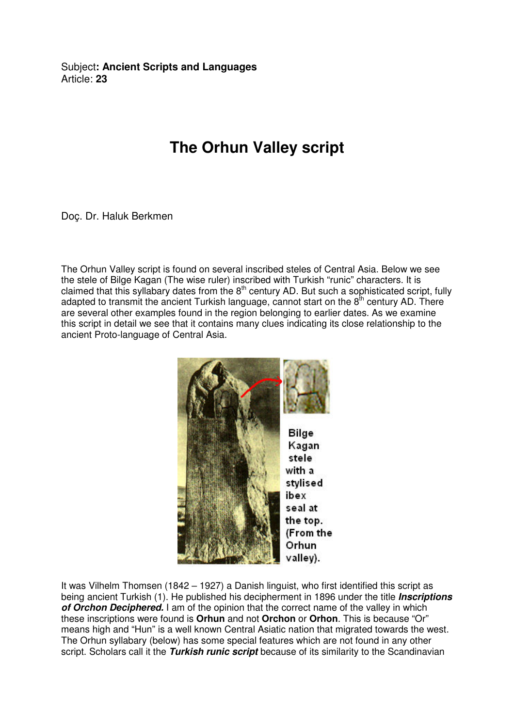Subject**: Ancient Scripts and Languages**  Article: **23**

## **The Orhun Valley script**

Doç. Dr. Haluk Berkmen

The Orhun Valley script is found on several inscribed steles of Central Asia. Below we see the stele of Bilge Kagan (The wise ruler) inscribed with Turkish "runic" characters. It is claimed that this syllabary dates from the 8<sup>th</sup> century AD. But such a sophisticated script, fully adapted to transmit the ancient Turkish language, cannot start on the  $8<sup>th</sup>$  century AD. There are several other examples found in the region belonging to earlier dates. As we examine this script in detail we see that it contains many clues indicating its close relationship to the ancient Proto-language of Central Asia.



It was Vilhelm Thomsen (1842 – 1927) a Danish linguist, who first identified this script as being ancient Turkish (1). He published his decipherment in 1896 under the title **Inscriptions of Orchon Deciphered.** I am of the opinion that the correct name of the valley in which these inscriptions were found is **Orhun** and not **Orchon** or **Orhon**. This is because "Or" means high and "Hun" is a well known Central Asiatic nation that migrated towards the west. The Orhun syllabary (below) has some special features which are not found in any other script. Scholars call it the **Turkish runic script** because of its similarity to the Scandinavian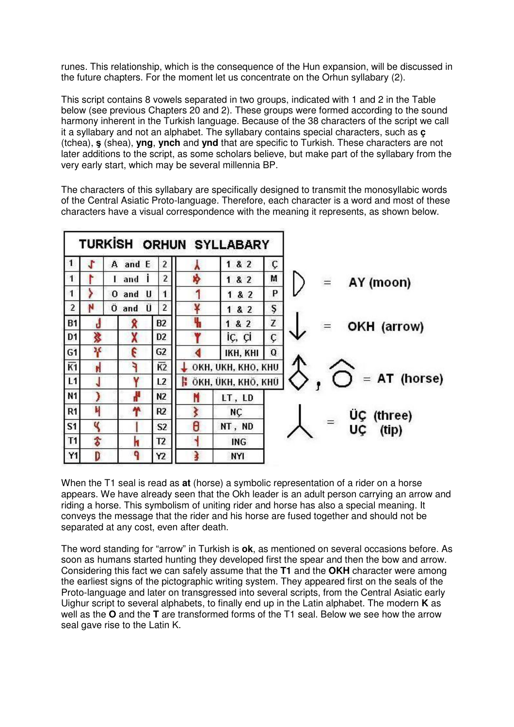runes. This relationship, which is the consequence of the Hun expansion, will be discussed in the future chapters. For the moment let us concentrate on the Orhun syllabary (2).

This script contains 8 vowels separated in two groups, indicated with 1 and 2 in the Table below (see previous Chapters 20 and 2). These groups were formed according to the sound harmony inherent in the Turkish language. Because of the 38 characters of the script we call it a syllabary and not an alphabet. The syllabary contains special characters, such as **ç** (tchea), ş (shea), **yng**, **ynch** and **ynd** that are specific to Turkish. These characters are not later additions to the script, as some scholars believe, but make part of the syllabary from the very early start, which may be several millennia BP.

The characters of this syllabary are specifically designed to transmit the monosyllabic words of the Central Asiatic Proto-language. Therefore, each character is a word and most of these characters have a visual correspondence with the meaning it represents, as shown below.



When the T1 seal is read as **at** (horse) a symbolic representation of a rider on a horse appears. We have already seen that the Okh leader is an adult person carrying an arrow and riding a horse. This symbolism of uniting rider and horse has also a special meaning. It conveys the message that the rider and his horse are fused together and should not be separated at any cost, even after death.

The word standing for "arrow" in Turkish is **ok**, as mentioned on several occasions before. As soon as humans started hunting they developed first the spear and then the bow and arrow. Considering this fact we can safely assume that the **T1** and the **OKH** character were among the earliest signs of the pictographic writing system. They appeared first on the seals of the Proto-language and later on transgressed into several scripts, from the Central Asiatic early Uighur script to several alphabets, to finally end up in the Latin alphabet. The modern **K** as well as the **O** and the **T** are transformed forms of the T1 seal. Below we see how the arrow seal gave rise to the Latin K.